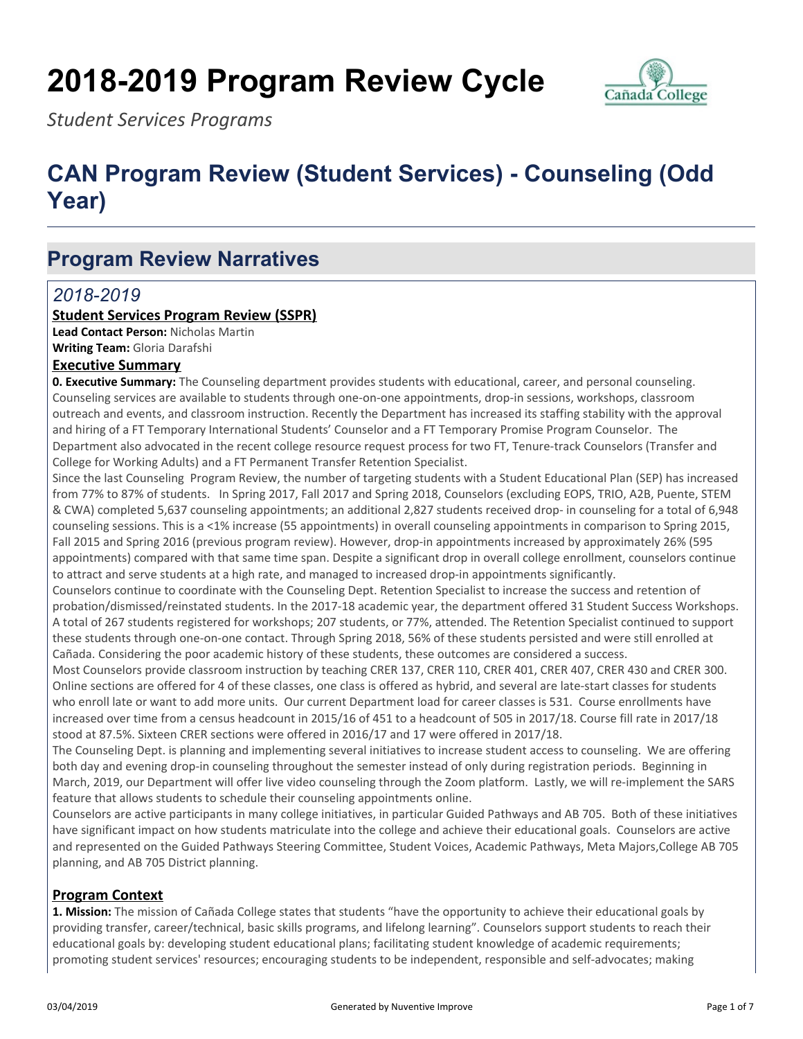# **2018-2019 Program Review Cycle**



*Student Services Programs*

## **CAN Program Review (Student Services) - Counseling (Odd Year)**

### **Program Review Narratives**

### *2018-2019*

#### **Student Services Program Review (SSPR)**

**Lead Contact Person:** Nicholas Martin **Writing Team:** Gloria Darafshi

#### **Executive Summary**

**0. Executive Summary:** The Counseling department provides students with educational, career, and personal counseling. Counseling services are available to students through one-on-one appointments, drop-in sessions, workshops, classroom outreach and events, and classroom instruction. Recently the Department has increased its staffing stability with the approval and hiring of a FT Temporary International Students' Counselor and a FT Temporary Promise Program Counselor. The Department also advocated in the recent college resource request process for two FT, Tenure-track Counselors (Transfer and College for Working Adults) and a FT Permanent Transfer Retention Specialist.

Since the last Counseling Program Review, the number of targeting students with a Student Educational Plan (SEP) has increased from 77% to 87% of students. In Spring 2017, Fall 2017 and Spring 2018, Counselors (excluding EOPS, TRIO, A2B, Puente, STEM & CWA) completed 5,637 counseling appointments; an additional 2,827 students received drop- in counseling for a total of 6,948 counseling sessions. This is a <1% increase (55 appointments) in overall counseling appointments in comparison to Spring 2015, Fall 2015 and Spring 2016 (previous program review). However, drop-in appointments increased by approximately 26% (595 appointments) compared with that same time span. Despite a significant drop in overall college enrollment, counselors continue to attract and serve students at a high rate, and managed to increased drop-in appointments significantly.

Counselors continue to coordinate with the Counseling Dept. Retention Specialist to increase the success and retention of probation/dismissed/reinstated students. In the 2017-18 academic year, the department offered 31 Student Success Workshops. A total of 267 students registered for workshops; 207 students, or 77%, attended. The Retention Specialist continued to support these students through one-on-one contact. Through Spring 2018, 56% of these students persisted and were still enrolled at Cañada. Considering the poor academic history of these students, these outcomes are considered a success.

Most Counselors provide classroom instruction by teaching CRER 137, CRER 110, CRER 401, CRER 407, CRER 430 and CRER 300. Online sections are offered for 4 of these classes, one class is offered as hybrid, and several are late-start classes for students who enroll late or want to add more units. Our current Department load for career classes is 531. Course enrollments have increased over time from a census headcount in 2015/16 of 451 to a headcount of 505 in 2017/18. Course fill rate in 2017/18 stood at 87.5%. Sixteen CRER sections were offered in 2016/17 and 17 were offered in 2017/18.

The Counseling Dept. is planning and implementing several initiatives to increase student access to counseling. We are offering both day and evening drop-in counseling throughout the semester instead of only during registration periods. Beginning in March, 2019, our Department will offer live video counseling through the Zoom platform. Lastly, we will re-implement the SARS feature that allows students to schedule their counseling appointments online.

Counselors are active participants in many college initiatives, in particular Guided Pathways and AB 705. Both of these initiatives have significant impact on how students matriculate into the college and achieve their educational goals. Counselors are active and represented on the Guided Pathways Steering Committee, Student Voices, Academic Pathways, Meta Majors,College AB 705 planning, and AB 705 District planning.

#### **Program Context**

**1. Mission:** The mission of Cañada College states that students "have the opportunity to achieve their educational goals by providing transfer, career/technical, basic skills programs, and lifelong learning". Counselors support students to reach their educational goals by: developing student educational plans; facilitating student knowledge of academic requirements; promoting student services' resources; encouraging students to be independent, responsible and self-advocates; making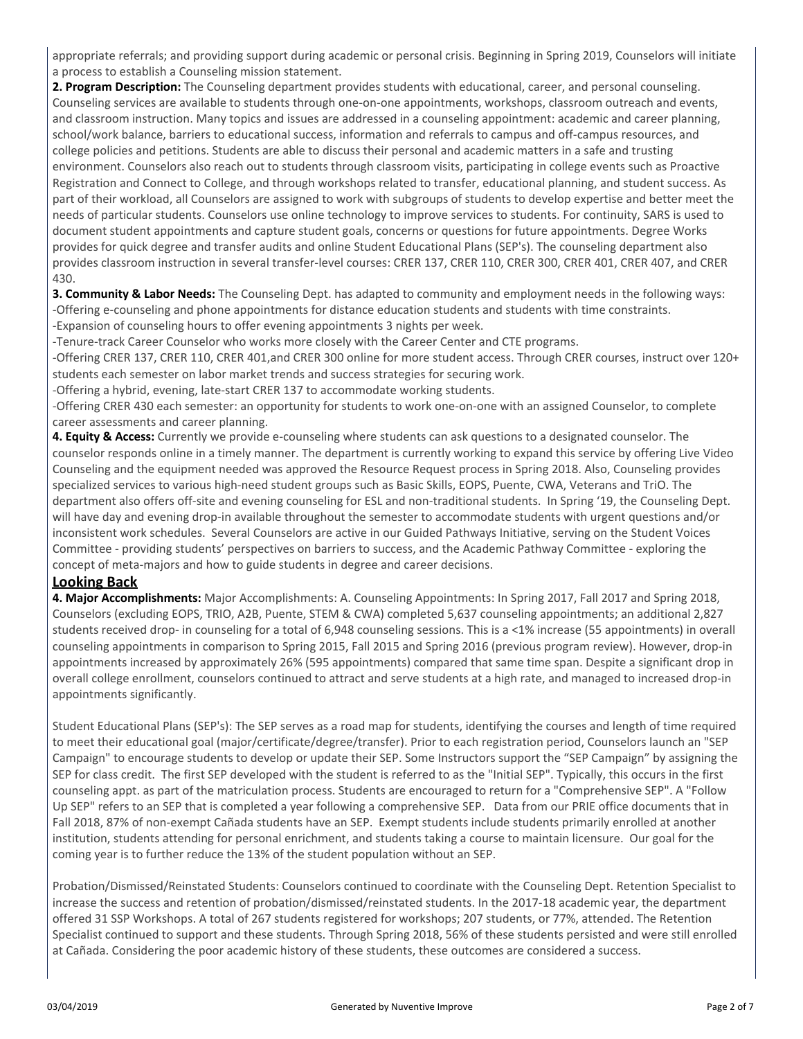appropriate referrals; and providing support during academic or personal crisis. Beginning in Spring 2019, Counselors will initiate a process to establish a Counseling mission statement.

**2. Program Description:** The Counseling department provides students with educational, career, and personal counseling. Counseling services are available to students through one-on-one appointments, workshops, classroom outreach and events, and classroom instruction. Many topics and issues are addressed in a counseling appointment: academic and career planning, school/work balance, barriers to educational success, information and referrals to campus and off-campus resources, and college policies and petitions. Students are able to discuss their personal and academic matters in a safe and trusting environment. Counselors also reach out to students through classroom visits, participating in college events such as Proactive Registration and Connect to College, and through workshops related to transfer, educational planning, and student success. As part of their workload, all Counselors are assigned to work with subgroups of students to develop expertise and better meet the needs of particular students. Counselors use online technology to improve services to students. For continuity, SARS is used to document student appointments and capture student goals, concerns or questions for future appointments. Degree Works provides for quick degree and transfer audits and online Student Educational Plans (SEP's). The counseling department also provides classroom instruction in several transfer-level courses: CRER 137, CRER 110, CRER 300, CRER 401, CRER 407, and CRER 430.

**3. Community & Labor Needs:** The Counseling Dept. has adapted to community and employment needs in the following ways: -Offering e-counseling and phone appointments for distance education students and students with time constraints. -Expansion of counseling hours to offer evening appointments 3 nights per week.

-Tenure-track Career Counselor who works more closely with the Career Center and CTE programs.

-Offering CRER 137, CRER 110, CRER 401,and CRER 300 online for more student access. Through CRER courses, instruct over 120+ students each semester on labor market trends and success strategies for securing work.

-Offering a hybrid, evening, late-start CRER 137 to accommodate working students.

-Offering CRER 430 each semester: an opportunity for students to work one-on-one with an assigned Counselor, to complete career assessments and career planning.

**4. Equity & Access:** Currently we provide e-counseling where students can ask questions to a designated counselor. The counselor responds online in a timely manner. The department is currently working to expand this service by offering Live Video Counseling and the equipment needed was approved the Resource Request process in Spring 2018. Also, Counseling provides specialized services to various high-need student groups such as Basic Skills, EOPS, Puente, CWA, Veterans and TriO. The department also offers off-site and evening counseling for ESL and non-traditional students. In Spring '19, the Counseling Dept. will have day and evening drop-in available throughout the semester to accommodate students with urgent questions and/or inconsistent work schedules. Several Counselors are active in our Guided Pathways Initiative, serving on the Student Voices Committee - providing students' perspectives on barriers to success, and the Academic Pathway Committee - exploring the concept of meta-majors and how to guide students in degree and career decisions.

#### **Looking Back**

**4. Major Accomplishments:** Major Accomplishments: A. Counseling Appointments: In Spring 2017, Fall 2017 and Spring 2018, Counselors (excluding EOPS, TRIO, A2B, Puente, STEM & CWA) completed 5,637 counseling appointments; an additional 2,827 students received drop- in counseling for a total of 6,948 counseling sessions. This is a <1% increase (55 appointments) in overall counseling appointments in comparison to Spring 2015, Fall 2015 and Spring 2016 (previous program review). However, drop-in appointments increased by approximately 26% (595 appointments) compared that same time span. Despite a significant drop in overall college enrollment, counselors continued to attract and serve students at a high rate, and managed to increased drop-in appointments significantly.

Student Educational Plans (SEP's): The SEP serves as a road map for students, identifying the courses and length of time required to meet their educational goal (major/certificate/degree/transfer). Prior to each registration period, Counselors launch an "SEP Campaign" to encourage students to develop or update their SEP. Some Instructors support the "SEP Campaign" by assigning the SEP for class credit. The first SEP developed with the student is referred to as the "Initial SEP". Typically, this occurs in the first counseling appt. as part of the matriculation process. Students are encouraged to return for a "Comprehensive SEP". A "Follow Up SEP" refers to an SEP that is completed a year following a comprehensive SEP. Data from our PRIE office documents that in Fall 2018, 87% of non-exempt Cañada students have an SEP. Exempt students include students primarily enrolled at another institution, students attending for personal enrichment, and students taking a course to maintain licensure. Our goal for the coming year is to further reduce the 13% of the student population without an SEP.

Probation/Dismissed/Reinstated Students: Counselors continued to coordinate with the Counseling Dept. Retention Specialist to increase the success and retention of probation/dismissed/reinstated students. In the 2017-18 academic year, the department offered 31 SSP Workshops. A total of 267 students registered for workshops; 207 students, or 77%, attended. The Retention Specialist continued to support and these students. Through Spring 2018, 56% of these students persisted and were still enrolled at Cañada. Considering the poor academic history of these students, these outcomes are considered a success.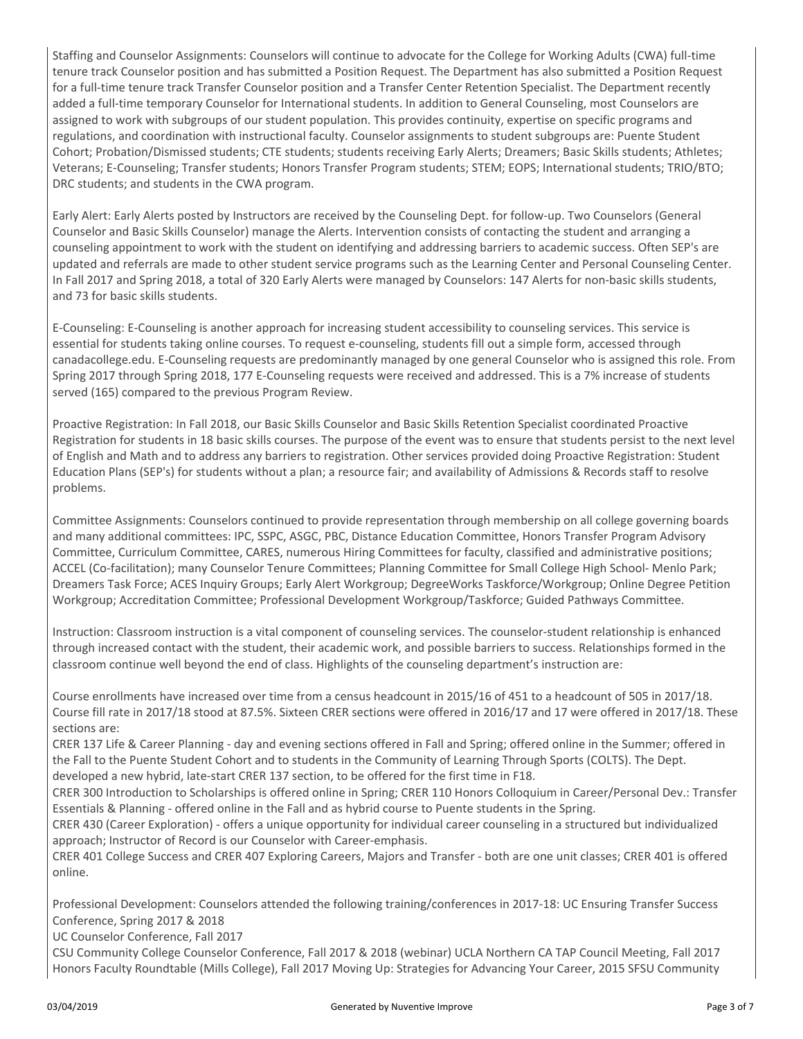Staffing and Counselor Assignments: Counselors will continue to advocate for the College for Working Adults (CWA) full-time tenure track Counselor position and has submitted a Position Request. The Department has also submitted a Position Request for a full-time tenure track Transfer Counselor position and a Transfer Center Retention Specialist. The Department recently added a full-time temporary Counselor for International students. In addition to General Counseling, most Counselors are assigned to work with subgroups of our student population. This provides continuity, expertise on specific programs and regulations, and coordination with instructional faculty. Counselor assignments to student subgroups are: Puente Student Cohort; Probation/Dismissed students; CTE students; students receiving Early Alerts; Dreamers; Basic Skills students; Athletes; Veterans; E-Counseling; Transfer students; Honors Transfer Program students; STEM; EOPS; International students; TRIO/BTO; DRC students; and students in the CWA program.

Early Alert: Early Alerts posted by Instructors are received by the Counseling Dept. for follow-up. Two Counselors (General Counselor and Basic Skills Counselor) manage the Alerts. Intervention consists of contacting the student and arranging a counseling appointment to work with the student on identifying and addressing barriers to academic success. Often SEP's are updated and referrals are made to other student service programs such as the Learning Center and Personal Counseling Center. In Fall 2017 and Spring 2018, a total of 320 Early Alerts were managed by Counselors: 147 Alerts for non-basic skills students, and 73 for basic skills students.

E-Counseling: E-Counseling is another approach for increasing student accessibility to counseling services. This service is essential for students taking online courses. To request e-counseling, students fill out a simple form, accessed through canadacollege.edu. E-Counseling requests are predominantly managed by one general Counselor who is assigned this role. From Spring 2017 through Spring 2018, 177 E-Counseling requests were received and addressed. This is a 7% increase of students served (165) compared to the previous Program Review.

Proactive Registration: In Fall 2018, our Basic Skills Counselor and Basic Skills Retention Specialist coordinated Proactive Registration for students in 18 basic skills courses. The purpose of the event was to ensure that students persist to the next level of English and Math and to address any barriers to registration. Other services provided doing Proactive Registration: Student Education Plans (SEP's) for students without a plan; a resource fair; and availability of Admissions & Records staff to resolve problems.

Committee Assignments: Counselors continued to provide representation through membership on all college governing boards and many additional committees: IPC, SSPC, ASGC, PBC, Distance Education Committee, Honors Transfer Program Advisory Committee, Curriculum Committee, CARES, numerous Hiring Committees for faculty, classified and administrative positions; ACCEL (Co-facilitation); many Counselor Tenure Committees; Planning Committee for Small College High School- Menlo Park; Dreamers Task Force; ACES Inquiry Groups; Early Alert Workgroup; DegreeWorks Taskforce/Workgroup; Online Degree Petition Workgroup; Accreditation Committee; Professional Development Workgroup/Taskforce; Guided Pathways Committee.

Instruction: Classroom instruction is a vital component of counseling services. The counselor-student relationship is enhanced through increased contact with the student, their academic work, and possible barriers to success. Relationships formed in the classroom continue well beyond the end of class. Highlights of the counseling department's instruction are:

Course enrollments have increased over time from a census headcount in 2015/16 of 451 to a headcount of 505 in 2017/18. Course fill rate in 2017/18 stood at 87.5%. Sixteen CRER sections were offered in 2016/17 and 17 were offered in 2017/18. These sections are:

CRER 137 Life & Career Planning - day and evening sections offered in Fall and Spring; offered online in the Summer; offered in the Fall to the Puente Student Cohort and to students in the Community of Learning Through Sports (COLTS). The Dept. developed a new hybrid, late-start CRER 137 section, to be offered for the first time in F18.

CRER 300 Introduction to Scholarships is offered online in Spring; CRER 110 Honors Colloquium in Career/Personal Dev.: Transfer Essentials & Planning - offered online in the Fall and as hybrid course to Puente students in the Spring.

CRER 430 (Career Exploration) - offers a unique opportunity for individual career counseling in a structured but individualized approach; Instructor of Record is our Counselor with Career-emphasis.

CRER 401 College Success and CRER 407 Exploring Careers, Majors and Transfer - both are one unit classes; CRER 401 is offered online.

Professional Development: Counselors attended the following training/conferences in 2017-18: UC Ensuring Transfer Success Conference, Spring 2017 & 2018

UC Counselor Conference, Fall 2017

CSU Community College Counselor Conference, Fall 2017 & 2018 (webinar) UCLA Northern CA TAP Council Meeting, Fall 2017 Honors Faculty Roundtable (Mills College), Fall 2017 Moving Up: Strategies for Advancing Your Career, 2015 SFSU Community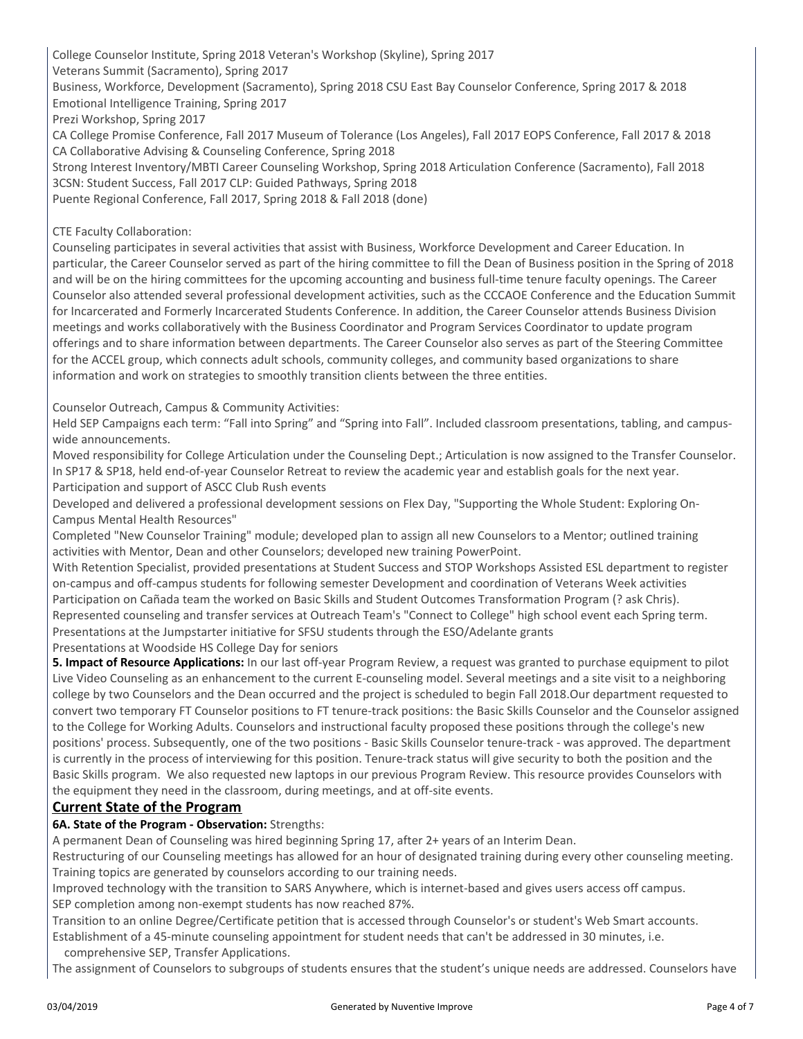College Counselor Institute, Spring 2018 Veteran's Workshop (Skyline), Spring 2017 Veterans Summit (Sacramento), Spring 2017 Business, Workforce, Development (Sacramento), Spring 2018 CSU East Bay Counselor Conference, Spring 2017 & 2018 Emotional Intelligence Training, Spring 2017 Prezi Workshop, Spring 2017 CA College Promise Conference, Fall 2017 Museum of Tolerance (Los Angeles), Fall 2017 EOPS Conference, Fall 2017 & 2018 CA Collaborative Advising & Counseling Conference, Spring 2018

Strong Interest Inventory/MBTI Career Counseling Workshop, Spring 2018 Articulation Conference (Sacramento), Fall 2018 3CSN: Student Success, Fall 2017 CLP: Guided Pathways, Spring 2018

Puente Regional Conference, Fall 2017, Spring 2018 & Fall 2018 (done)

#### CTE Faculty Collaboration:

Counseling participates in several activities that assist with Business, Workforce Development and Career Education. In particular, the Career Counselor served as part of the hiring committee to fill the Dean of Business position in the Spring of 2018 and will be on the hiring committees for the upcoming accounting and business full-time tenure faculty openings. The Career Counselor also attended several professional development activities, such as the CCCAOE Conference and the Education Summit for Incarcerated and Formerly Incarcerated Students Conference. In addition, the Career Counselor attends Business Division meetings and works collaboratively with the Business Coordinator and Program Services Coordinator to update program offerings and to share information between departments. The Career Counselor also serves as part of the Steering Committee for the ACCEL group, which connects adult schools, community colleges, and community based organizations to share information and work on strategies to smoothly transition clients between the three entities.

Counselor Outreach, Campus & Community Activities:

Held SEP Campaigns each term: "Fall into Spring" and "Spring into Fall". Included classroom presentations, tabling, and campuswide announcements.

Moved responsibility for College Articulation under the Counseling Dept.; Articulation is now assigned to the Transfer Counselor. In SP17 & SP18, held end-of-year Counselor Retreat to review the academic year and establish goals for the next year. Participation and support of ASCC Club Rush events

Developed and delivered a professional development sessions on Flex Day, "Supporting the Whole Student: Exploring On-Campus Mental Health Resources"

Completed "New Counselor Training" module; developed plan to assign all new Counselors to a Mentor; outlined training activities with Mentor, Dean and other Counselors; developed new training PowerPoint.

With Retention Specialist, provided presentations at Student Success and STOP Workshops Assisted ESL department to register on-campus and off-campus students for following semester Development and coordination of Veterans Week activities Participation on Cañada team the worked on Basic Skills and Student Outcomes Transformation Program (? ask Chris). Represented counseling and transfer services at Outreach Team's "Connect to College" high school event each Spring term. Presentations at the Jumpstarter initiative for SFSU students through the ESO/Adelante grants Presentations at Woodside HS College Day for seniors

**5. Impact of Resource Applications:** In our last off-year Program Review, a request was granted to purchase equipment to pilot Live Video Counseling as an enhancement to the current E-counseling model. Several meetings and a site visit to a neighboring college by two Counselors and the Dean occurred and the project is scheduled to begin Fall 2018.Our department requested to convert two temporary FT Counselor positions to FT tenure-track positions: the Basic Skills Counselor and the Counselor assigned to the College for Working Adults. Counselors and instructional faculty proposed these positions through the college's new positions' process. Subsequently, one of the two positions - Basic Skills Counselor tenure-track - was approved. The department is currently in the process of interviewing for this position. Tenure-track status will give security to both the position and the Basic Skills program. We also requested new laptops in our previous Program Review. This resource provides Counselors with the equipment they need in the classroom, during meetings, and at off-site events.

#### **Current State of the Program**

#### **6A. State of the Program - Observation:** Strengths:

A permanent Dean of Counseling was hired beginning Spring 17, after 2+ years of an Interim Dean.

Restructuring of our Counseling meetings has allowed for an hour of designated training during every other counseling meeting. Training topics are generated by counselors according to our training needs.

Improved technology with the transition to SARS Anywhere, which is internet-based and gives users access off campus. SEP completion among non-exempt students has now reached 87%.

Transition to an online Degree/Certificate petition that is accessed through Counselor's or student's Web Smart accounts.

Establishment of a 45-minute counseling appointment for student needs that can't be addressed in 30 minutes, i.e.

comprehensive SEP, Transfer Applications.

The assignment of Counselors to subgroups of students ensures that the student's unique needs are addressed. Counselors have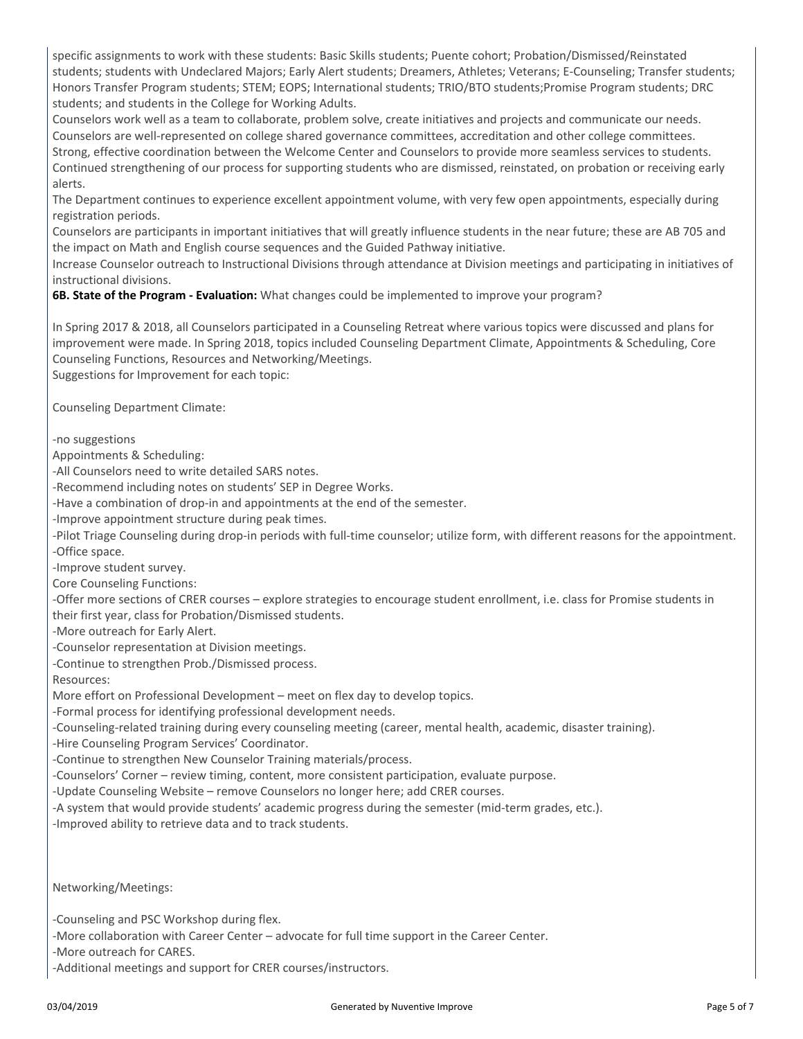specific assignments to work with these students: Basic Skills students; Puente cohort; Probation/Dismissed/Reinstated students; students with Undeclared Majors; Early Alert students; Dreamers, Athletes; Veterans; E-Counseling; Transfer students; Honors Transfer Program students; STEM; EOPS; International students; TRIO/BTO students;Promise Program students; DRC students; and students in the College for Working Adults.

Counselors work well as a team to collaborate, problem solve, create initiatives and projects and communicate our needs. Counselors are well-represented on college shared governance committees, accreditation and other college committees. Strong, effective coordination between the Welcome Center and Counselors to provide more seamless services to students. Continued strengthening of our process for supporting students who are dismissed, reinstated, on probation or receiving early alerts.

The Department continues to experience excellent appointment volume, with very few open appointments, especially during registration periods.

Counselors are participants in important initiatives that will greatly influence students in the near future; these are AB 705 and the impact on Math and English course sequences and the Guided Pathway initiative.

Increase Counselor outreach to Instructional Divisions through attendance at Division meetings and participating in initiatives of instructional divisions.

**6B. State of the Program - Evaluation:** What changes could be implemented to improve your program?

In Spring 2017 & 2018, all Counselors participated in a Counseling Retreat where various topics were discussed and plans for improvement were made. In Spring 2018, topics included Counseling Department Climate, Appointments & Scheduling, Core Counseling Functions, Resources and Networking/Meetings.

Suggestions for Improvement for each topic:

Counseling Department Climate:

-no suggestions

Appointments & Scheduling:

-All Counselors need to write detailed SARS notes.

-Recommend including notes on students' SEP in Degree Works.

-Have a combination of drop-in and appointments at the end of the semester.

-Improve appointment structure during peak times.

-Pilot Triage Counseling during drop-in periods with full-time counselor; utilize form, with different reasons for the appointment. -Office space.

-Improve student survey.

Core Counseling Functions:

-Offer more sections of CRER courses – explore strategies to encourage student enrollment, i.e. class for Promise students in their first year, class for Probation/Dismissed students.

-More outreach for Early Alert.

-Counselor representation at Division meetings.

-Continue to strengthen Prob./Dismissed process.

Resources:

More effort on Professional Development – meet on flex day to develop topics.

-Formal process for identifying professional development needs.

-Counseling-related training during every counseling meeting (career, mental health, academic, disaster training).

-Hire Counseling Program Services' Coordinator.

-Continue to strengthen New Counselor Training materials/process.

-Counselors' Corner – review timing, content, more consistent participation, evaluate purpose.

-Update Counseling Website – remove Counselors no longer here; add CRER courses.

-A system that would provide students' academic progress during the semester (mid-term grades, etc.).

-Improved ability to retrieve data and to track students.

Networking/Meetings:

-Counseling and PSC Workshop during flex.

-More collaboration with Career Center – advocate for full time support in the Career Center.

-More outreach for CARES.

-Additional meetings and support for CRER courses/instructors.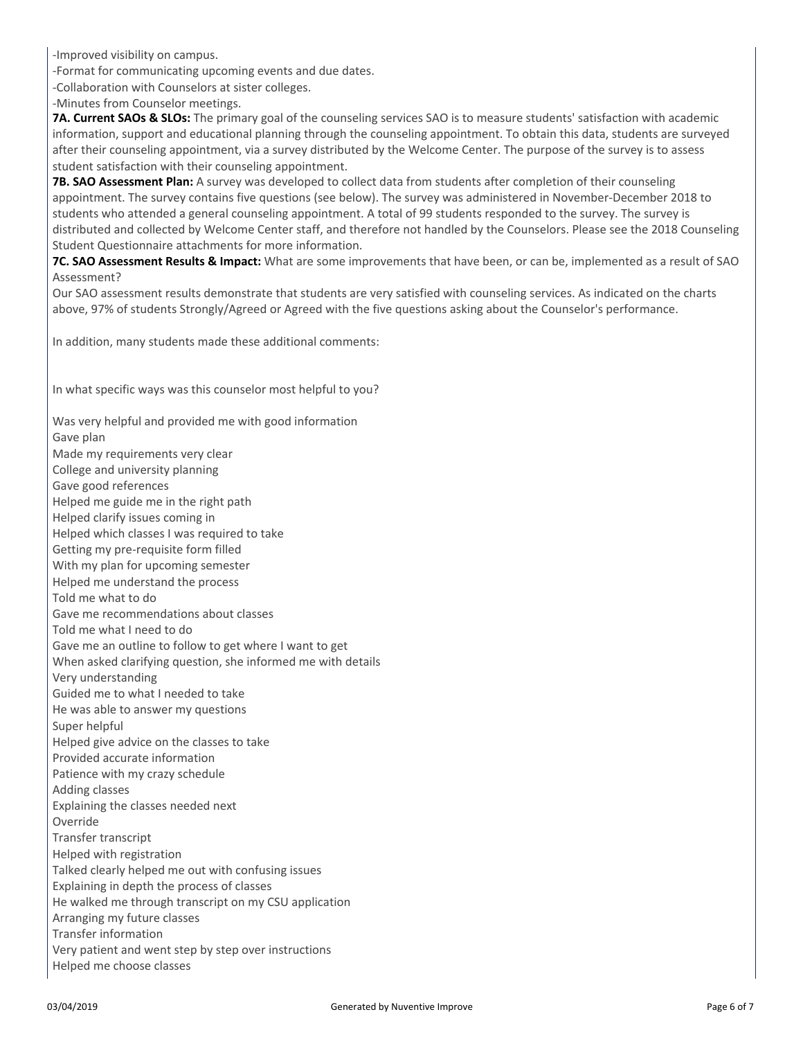-Improved visibility on campus.

-Format for communicating upcoming events and due dates.

-Collaboration with Counselors at sister colleges.

-Minutes from Counselor meetings.

**7A. Current SAOs & SLOs:** The primary goal of the counseling services SAO is to measure students' satisfaction with academic information, support and educational planning through the counseling appointment. To obtain this data, students are surveyed after their counseling appointment, via a survey distributed by the Welcome Center. The purpose of the survey is to assess student satisfaction with their counseling appointment.

**7B. SAO Assessment Plan:** A survey was developed to collect data from students after completion of their counseling appointment. The survey contains five questions (see below). The survey was administered in November-December 2018 to students who attended a general counseling appointment. A total of 99 students responded to the survey. The survey is distributed and collected by Welcome Center staff, and therefore not handled by the Counselors. Please see the 2018 Counseling Student Questionnaire attachments for more information.

**7C. SAO Assessment Results & Impact:** What are some improvements that have been, or can be, implemented as a result of SAO Assessment?

Our SAO assessment results demonstrate that students are very satisfied with counseling services. As indicated on the charts above, 97% of students Strongly/Agreed or Agreed with the five questions asking about the Counselor's performance.

In addition, many students made these additional comments:

In what specific ways was this counselor most helpful to you?

Was very helpful and provided me with good information Gave plan Made my requirements very clear College and university planning Gave good references Helped me guide me in the right path Helped clarify issues coming in Helped which classes I was required to take Getting my pre-requisite form filled With my plan for upcoming semester Helped me understand the process Told me what to do Gave me recommendations about classes Told me what I need to do Gave me an outline to follow to get where I want to get When asked clarifying question, she informed me with details Very understanding Guided me to what I needed to take He was able to answer my questions Super helpful Helped give advice on the classes to take Provided accurate information Patience with my crazy schedule Adding classes Explaining the classes needed next Override Transfer transcript Helped with registration Talked clearly helped me out with confusing issues Explaining in depth the process of classes He walked me through transcript on my CSU application Arranging my future classes Transfer information Very patient and went step by step over instructions Helped me choose classes